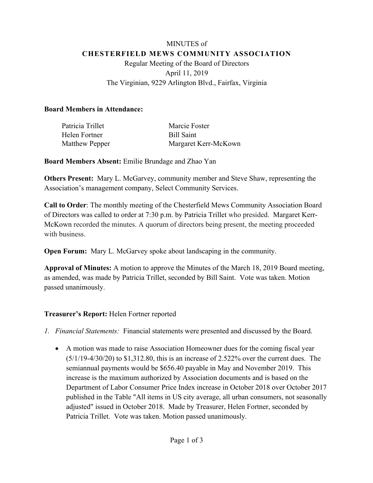# MINUTES of **CHESTERFIELD MEWS COMMUNITY ASSOCIATION** Regular Meeting of the Board of Directors April 11, 2019 The Virginian, 9229 Arlington Blvd., Fairfax, Virginia

### **Board Members in Attendance:**

| Patricia Trillet      | Marcie Foster        |
|-----------------------|----------------------|
| Helen Fortner         | Bill Saint           |
| <b>Matthew Pepper</b> | Margaret Kerr-McKown |

**Board Members Absent:** Emilie Brundage and Zhao Yan

**Others Present:** Mary L. McGarvey, community member and Steve Shaw, representing the Association's management company, Select Community Services.

**Call to Order**: The monthly meeting of the Chesterfield Mews Community Association Board of Directors was called to order at 7:30 p.m. by Patricia Trillet who presided. Margaret Kerr-McKown recorded the minutes. A quorum of directors being present, the meeting proceeded with business.

**Open Forum:** Mary L. McGarvey spoke about landscaping in the community.

**Approval of Minutes:** A motion to approve the Minutes of the March 18, 2019 Board meeting, as amended, was made by Patricia Trillet, seconded by Bill Saint. Vote was taken. Motion passed unanimously.

# **Treasurer's Report:** Helen Fortner reported

- *1. Financial Statements:* Financial statements were presented and discussed by the Board.
	- A motion was made to raise Association Homeowner dues for the coming fiscal year (5/1/19-4/30/20) to \$1,312.80, this is an increase of 2.522% over the current dues. The semiannual payments would be \$656.40 payable in May and November 2019. This increase is the maximum authorized by Association documents and is based on the Department of Labor Consumer Price Index increase in October 2018 over October 2017 published in the Table "All items in US city average, all urban consumers, not seasonally adjusted" issued in October 2018. Made by Treasurer, Helen Fortner, seconded by Patricia Trillet. Vote was taken. Motion passed unanimously.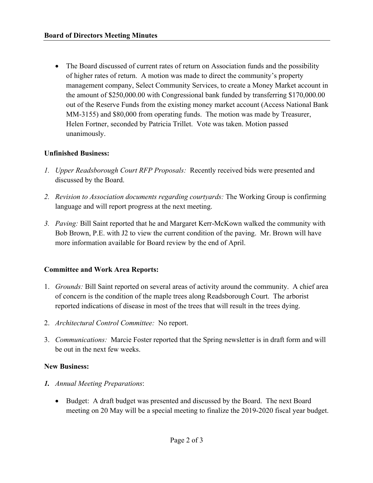• The Board discussed of current rates of return on Association funds and the possibility of higher rates of return. A motion was made to direct the community's property management company, Select Community Services, to create a Money Market account in the amount of \$250,000.00 with Congressional bank funded by transferring \$170,000.00 out of the Reserve Funds from the existing money market account (Access National Bank MM-3155) and \$80,000 from operating funds. The motion was made by Treasurer, Helen Fortner, seconded by Patricia Trillet. Vote was taken. Motion passed unanimously.

#### **Unfinished Business:**

- *1. Upper Readsborough Court RFP Proposals:* Recently received bids were presented and discussed by the Board.
- *2. Revision to Association documents regarding courtyards:* The Working Group is confirming language and will report progress at the next meeting.
- *3. Paving:* Bill Saint reported that he and Margaret Kerr-McKown walked the community with Bob Brown, P.E. with J2 to view the current condition of the paving. Mr. Brown will have more information available for Board review by the end of April.

#### **Committee and Work Area Reports:**

- 1. *Grounds:* Bill Saint reported on several areas of activity around the community. A chief area of concern is the condition of the maple trees along Readsborough Court. The arborist reported indications of disease in most of the trees that will result in the trees dying.
- 2. *Architectural Control Committee:* No report.
- 3. *Communications:* Marcie Foster reported that the Spring newsletter is in draft form and will be out in the next few weeks.

#### **New Business:**

- *1. Annual Meeting Preparations*:
	- Budget: A draft budget was presented and discussed by the Board. The next Board meeting on 20 May will be a special meeting to finalize the 2019-2020 fiscal year budget.